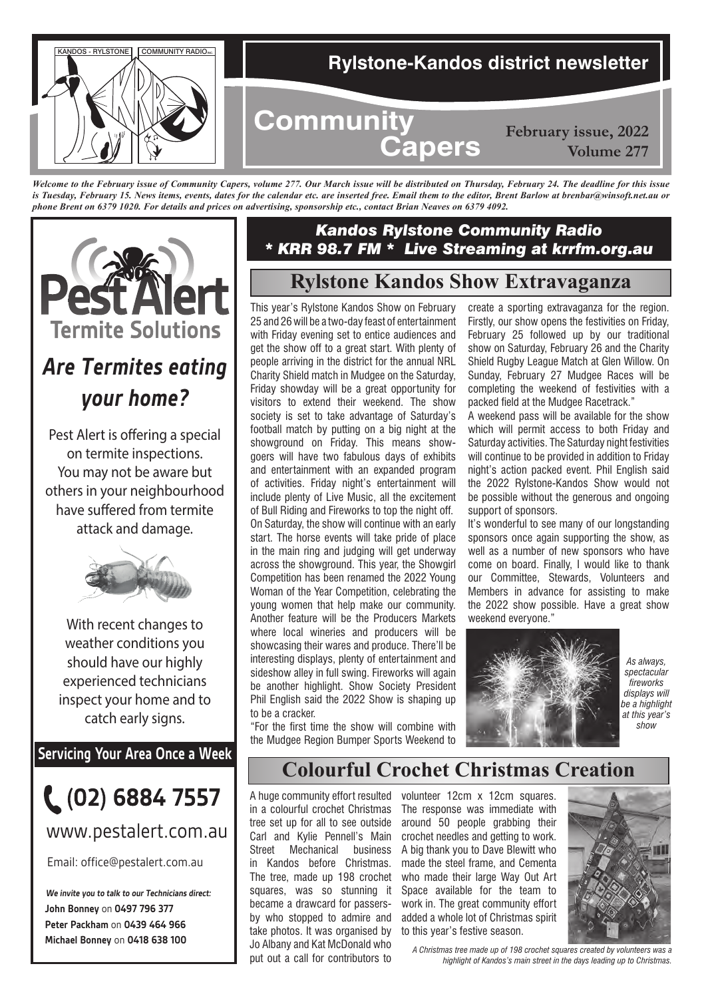

*Welcome to the February issue of Community Capers, volume 277. Our March issue will be distributed on Thursday, February 24. The deadline for this issue is Tuesday, February 15. News items, events, dates for the calendar etc. are inserted free. Email them to the editor, Brent Barlow at brenbar@winsoft.net.au or phone Brent on 6379 1020. For details and prices on advertising, sponsorship etc., contact Brian Neaves on 6379 4092.*



# *Are Termites eating your home?*

Pest Alert is offering a special on termite inspections. You may not be aware but others in your neighbourhood have suffered from termite attack and damage.



With recent changes to weather conditions you should have our highly experienced technicians inspect your home and to catch early signs.

**Servicing Your Area Once a Week**

![](_page_0_Picture_8.jpeg)

www.pestalert.com.au

Email: office@pestalert.com.au

**John Bonney** on **0497 796 377 Peter Packham** on **0439 464 966 Michael Bonney** on **0418 638 100 We invite you to talk to our Technicians direct:**

## *Kandos Rylstone Community Radio \* KRR 98.7 FM \* Live Streaming at krrfm.org.au*

# **Rylstone Kandos Show Extravaganza**

This year's Rylstone Kandos Show on February 25 and 26 will be a two-day feast of entertainment with Friday evening set to entice audiences and get the show off to a great start. With plenty of people arriving in the district for the annual NRL Charity Shield match in Mudgee on the Saturday, Friday showday will be a great opportunity for visitors to extend their weekend. The show society is set to take advantage of Saturday's football match by putting on a big night at the showground on Friday. This means showgoers will have two fabulous days of exhibits and entertainment with an expanded program of activities. Friday night's entertainment will include plenty of Live Music, all the excitement of Bull Riding and Fireworks to top the night off. On Saturday, the show will continue with an early start. The horse events will take pride of place in the main ring and judging will get underway across the showground. This year, the Showgirl Competition has been renamed the 2022 Young Woman of the Year Competition, celebrating the young women that help make our community. Another feature will be the Producers Markets where local wineries and producers will be showcasing their wares and produce. There'll be interesting displays, plenty of entertainment and sideshow alley in full swing. Fireworks will again be another highlight. Show Society President Phil English said the 2022 Show is shaping up to be a cracker.

"For the first time the show will combine with the Mudgee Region Bumper Sports Weekend to create a sporting extravaganza for the region. Firstly, our show opens the festivities on Friday, February 25 followed up by our traditional show on Saturday, February 26 and the Charity Shield Rugby League Match at Glen Willow. On Sunday, February 27 Mudgee Races will be completing the weekend of festivities with a packed field at the Mudgee Racetrack."

A weekend pass will be available for the show which will permit access to both Friday and Saturday activities. The Saturday night festivities will continue to be provided in addition to Friday night's action packed event. Phil English said the 2022 Rylstone-Kandos Show would not be possible without the generous and ongoing support of sponsors.

It's wonderful to see many of our longstanding sponsors once again supporting the show, as well as a number of new sponsors who have come on board. Finally, I would like to thank our Committee, Stewards, Volunteers and Members in advance for assisting to make the 2022 show possible. Have a great show weekend everyone."

![](_page_0_Picture_19.jpeg)

*As always, spectacular fireworks displays will be a highlight at this year's show*

# **Colourful Crochet Christmas Creation**

A huge community effort resulted in a colourful crochet Christmas tree set up for all to see outside Carl and Kylie Pennell's Main Street Mechanical business in Kandos before Christmas. The tree, made up 198 crochet squares, was so stunning it became a drawcard for passersby who stopped to admire and take photos. It was organised by Jo Albany and Kat McDonald who put out a call for contributors to

volunteer 12cm x 12cm squares. The response was immediate with around 50 people grabbing their crochet needles and getting to work. A big thank you to Dave Blewitt who made the steel frame, and Cementa who made their large Way Out Art Space available for the team to work in. The great community effort added a whole lot of Christmas spirit to this year's festive season.

![](_page_0_Picture_24.jpeg)

*A Christmas tree made up of 198 crochet squares created by volunteers was a highlight of Kandos's main street in the days leading up to Christmas.*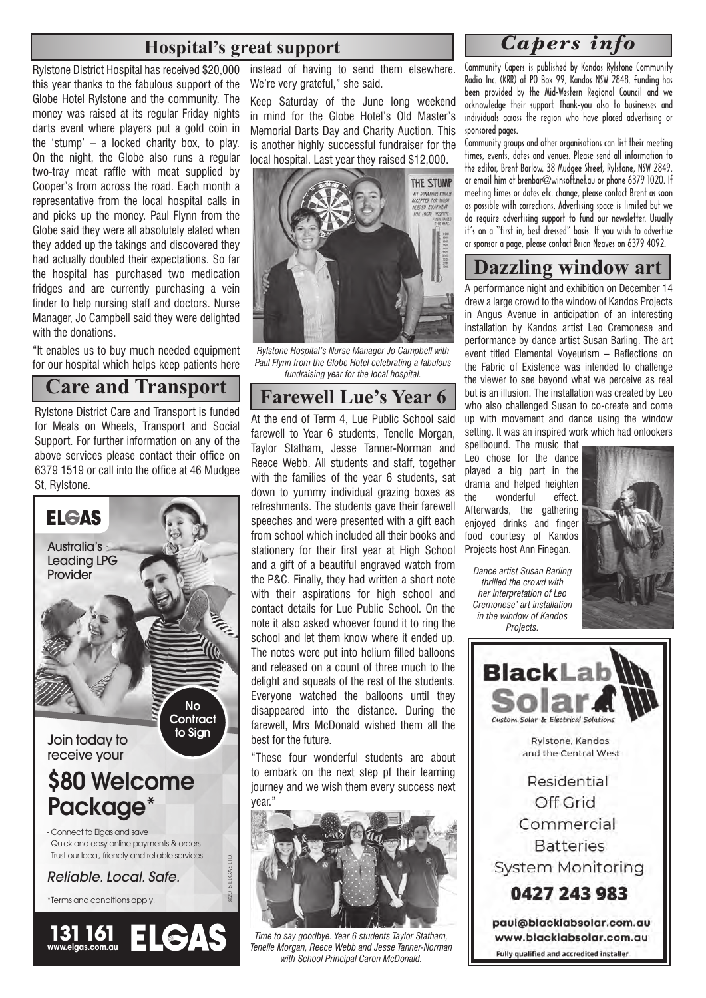# **Hospital's great support**

Rylstone District Hospital has received \$20,000 this year thanks to the fabulous support of the Globe Hotel Rylstone and the community. The money was raised at its regular Friday nights darts event where players put a gold coin in the 'stump' – a locked charity box, to play. On the night, the Globe also runs a regular two-tray meat raffle with meat supplied by Cooper's from across the road. Each month a representative from the local hospital calls in and picks up the money. Paul Flynn from the Globe said they were all absolutely elated when they added up the takings and discovered they had actually doubled their expectations. So far the hospital has purchased two medication fridges and are currently purchasing a vein finder to help nursing staff and doctors. Nurse Manager, Jo Campbell said they were delighted with the donations.

"It enables us to buy much needed equipment for our hospital which helps keep patients here

## **Care and Transport**

Rylstone District Care and Transport is funded for Meals on Wheels, Transport and Social Support. For further information on any of the above services please contact their office on 6379 1519 or call into the office at 46 Mudgee St, Rylstone.

![](_page_1_Picture_5.jpeg)

instead of having to send them elsewhere. We're very grateful," she said.

Keep Saturday of the June long weekend in mind for the Globe Hotel's Old Master's Memorial Darts Day and Charity Auction. This is another highly successful fundraiser for the local hospital. Last year they raised \$12,000.

![](_page_1_Picture_8.jpeg)

*Rylstone Hospital's Nurse Manager Jo Campbell with Paul Flynn from the Globe Hotel celebrating a fabulous fundraising year for the local hospital.*

## **Farewell Lue's Year 6**

At the end of Term 4, Lue Public School said farewell to Year 6 students, Tenelle Morgan, Taylor Statham, Jesse Tanner-Norman and Reece Webb. All students and staff, together with the families of the year 6 students, sat down to yummy individual grazing boxes as refreshments. The students gave their farewell speeches and were presented with a gift each from school which included all their books and stationery for their first year at High School and a gift of a beautiful engraved watch from the P&C. Finally, they had written a short note with their aspirations for high school and contact details for Lue Public School. On the note it also asked whoever found it to ring the school and let them know where it ended up. The notes were put into helium filled balloons and released on a count of three much to the delight and squeals of the rest of the students. Everyone watched the balloons until they disappeared into the distance. During the farewell, Mrs McDonald wished them all the best for the future.

"These four wonderful students are about to embark on the next step pf their learning journey and we wish them every success next year."

![](_page_1_Picture_13.jpeg)

*Time to say goodbye. Year 6 students Taylor Statham, Tenelle Morgan, Reece Webb and Jesse Tanner-Norman with School Principal Caron McDonald.*

### *Capers info*

Community Capers is published by Kandos Rylstone Community Radio Inc. (KRR) at PO Box 99, Kandos NSW 2848. Funding has been provided by the Mid-Western Regional Council and we acknowledge their support. Thank-you also to businesses and individuals across the region who have placed advertising or sponsored pages.

Community groups and other organisations can list their meeting times, events, dates and venues. Please send all information to the editor, Brent Barlow, 38 Mudgee Street, Rylstone, NSW 2849, or email him at brenbar@winsoft.net.au or phone 6379 1020. If meeting times or dates etc. change, please contact Brent as soon as possible with corrections. Advertising space is limited but we do require advertising support to fund our newsletter. Usually it's on a "first in, best dressed" basis. If you wish to advertise or sponsor a page, please contact Brian Neaves on 6379 4092.

# **Dazzling window art**

A performance night and exhibition on December 14 drew a large crowd to the window of Kandos Projects in Angus Avenue in anticipation of an interesting installation by Kandos artist Leo Cremonese and performance by dance artist Susan Barling. The art event titled Elemental Voyeurism – Reflections on the Fabric of Existence was intended to challenge the viewer to see beyond what we perceive as real but is an illusion. The installation was created by Leo who also challenged Susan to co-create and come up with movement and dance using the window setting. It was an inspired work which had onlookers

spellbound. The music that Leo chose for the dance played a big part in the drama and helped heighten<br>the wonderful effect. the wonderful Afterwards, the gathering enjoyed drinks and finger food courtesy of Kandos Projects host Ann Finegan.

*Dance artist Susan Barling thrilled the crowd with her interpretation of Leo Cremonese' art installation in the window of Kandos Projects.*

![](_page_1_Picture_21.jpeg)

![](_page_1_Picture_22.jpeg)

Off Grid Commercial **Batteries System Monitoring** 

0427 243 983

paul@blacklabsolar.com.au www.blacklabsolar.com.au Fully qualified and accredited installer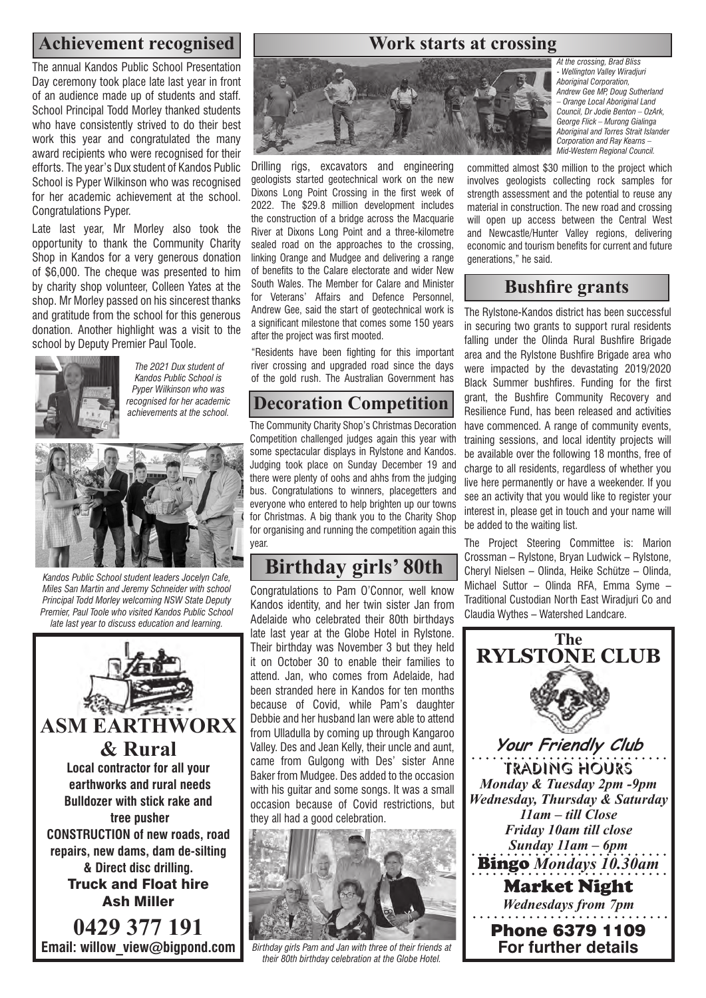# Achievement recognised **Work starts at crossing**

The annual Kandos Public School Presentation Day ceremony took place late last year in front of an audience made up of students and staff. School Principal Todd Morley thanked students who have consistently strived to do their best work this year and congratulated the many award recipients who were recognised for their efforts. The year's Dux student of Kandos Public School is Pyper Wilkinson who was recognised for her academic achievement at the school. Congratulations Pyper.

Late last year, Mr Morley also took the opportunity to thank the Community Charity Shop in Kandos for a very generous donation of \$6,000. The cheque was presented to him by charity shop volunteer, Colleen Yates at the shop. Mr Morley passed on his sincerest thanks and gratitude from the school for this generous donation. Another highlight was a visit to the school by Deputy Premier Paul Toole.

![](_page_2_Picture_3.jpeg)

 *The 2021 Dux student of Kandos Public School is Pyper Wilkinson who was recognised for her academic achievements at the school.*

![](_page_2_Picture_5.jpeg)

*Kandos Public School student leaders Jocelyn Cafe, Miles San Martin and Jeremy Schneider with school Principal Todd Morley welcoming NSW State Deputy Premier, Paul Toole who visited Kandos Public School late last year to discuss education and learning.* 

![](_page_2_Picture_7.jpeg)

**Email: willow\_view@bigpond.com**

![](_page_2_Picture_9.jpeg)

![](_page_2_Picture_10.jpeg)

Drilling rigs, excavators and engineering geologists started geotechnical work on the new Dixons Long Point Crossing in the first week of 2022. The \$29.8 million development includes the construction of a bridge across the Macquarie River at Dixons Long Point and a three-kilometre sealed road on the approaches to the crossing, linking Orange and Mudgee and delivering a range of benefits to the Calare electorate and wider New South Wales. The Member for Calare and Minister for Veterans' Affairs and Defence Personnel, Andrew Gee, said the start of geotechnical work is a significant milestone that comes some 150 years after the project was first mooted.

"Residents have been fighting for this important river crossing and upgraded road since the days of the gold rush. The Australian Government has

# **Decoration Competition**

The Community Charity Shop's Christmas Decoration Competition challenged judges again this year with some spectacular displays in Rylstone and Kandos. Judging took place on Sunday December 19 and there were plenty of oohs and ahhs from the judging bus. Congratulations to winners, placegetters and everyone who entered to help brighten up our towns for Christmas. A big thank you to the Charity Shop for organising and running the competition again this year.

# **Birthday girls' 80th**

Congratulations to Pam O'Connor, well know Kandos identity, and her twin sister Jan from Adelaide who celebrated their 80th birthdays late last year at the Globe Hotel in Rylstone. Their birthday was November 3 but they held it on October 30 to enable their families to attend. Jan, who comes from Adelaide, had been stranded here in Kandos for ten months because of Covid, while Pam's daughter Debbie and her husband Ian were able to attend from Ulladulla by coming up through Kangaroo Valley. Des and Jean Kelly, their uncle and aunt, came from Gulgong with Des' sister Anne Baker from Mudgee. Des added to the occasion with his guitar and some songs. It was a small occasion because of Covid restrictions, but they all had a good celebration.

![](_page_2_Picture_17.jpeg)

*Birthday girls Pam and Jan with three of their friends at their 80th birthday celebration at the Globe Hotel.*

*At the crossing, Brad Bliss - Wellington Valley Wiradjuri Aboriginal Corporation, Andrew Gee MP, Doug Sutherland – Orange Local Aboriginal Land Council, Dr Jodie Benton – OzArk, George Flick – Murong Gialinga Aboriginal and Torres Strait Islander Corporation and Ray Kearns – Mid-Western Regional Council.*

committed almost \$30 million to the project which involves geologists collecting rock samples for strength assessment and the potential to reuse any material in construction. The new road and crossing will open up access between the Central West and Newcastle/Hunter Valley regions, delivering economic and tourism benefits for current and future generations," he said.

### **Bushfire grants**

The Rylstone-Kandos district has been successful in securing two grants to support rural residents falling under the Olinda Rural Bushfire Brigade area and the Rylstone Bushfire Brigade area who were impacted by the devastating 2019/2020 Black Summer bushfires. Funding for the first grant, the Bushfire Community Recovery and Resilience Fund, has been released and activities have commenced. A range of community events, training sessions, and local identity projects will be available over the following 18 months, free of charge to all residents, regardless of whether you live here permanently or have a weekender. If you see an activity that you would like to register your interest in, please get in touch and your name will be added to the waiting list.

The Project Steering Committee is: Marion Crossman – Rylstone, Bryan Ludwick – Rylstone, Cheryl Nielsen – Olinda, Heike Schütze – Olinda, Michael Suttor – Olinda RFA, Emma Syme – Traditional Custodian North East Wiradjuri Co and Claudia Wythes – Watershed Landcare.

![](_page_2_Picture_24.jpeg)